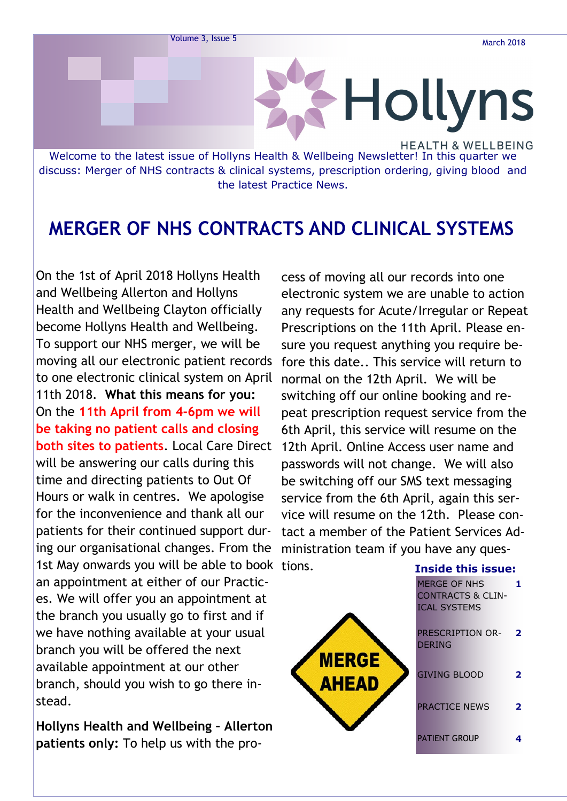

discuss: Merger of NHS contracts & clinical systems, prescription ordering, giving blood and the latest Practice News.

### **MERGER OF NHS CONTRACTS AND CLINICAL SYSTEMS**

On the 1st of April 2018 Hollyns Health and Wellbeing Allerton and Hollyns Health and Wellbeing Clayton officially become Hollyns Health and Wellbeing. To support our NHS merger, we will be moving all our electronic patient records to one electronic clinical system on April 11th 2018. **What this means for you:**  On the **11th April from 4-6pm we will be taking no patient calls and closing both sites to patients**. Local Care Direct will be answering our calls during this time and directing patients to Out Of Hours or walk in centres. We apologise for the inconvenience and thank all our patients for their continued support during our organisational changes. From the 1st May onwards you will be able to book tions. an appointment at either of our Practices. We will offer you an appointment at the branch you usually go to first and if we have nothing available at your usual branch you will be offered the next available appointment at our other branch, should you wish to go there instead.

**Hollyns Health and Wellbeing – Allerton patients only:** To help us with the pro-

cess of moving all our records into one electronic system we are unable to action any requests for Acute/Irregular or Repeat Prescriptions on the 11th April. Please ensure you request anything you require before this date.. This service will return to normal on the 12th April. We will be switching off our online booking and repeat prescription request service from the 6th April, this service will resume on the 12th April. Online Access user name and passwords will not change. We will also be switching off our SMS text messaging service from the 6th April, again this service will resume on the 12th. Please contact a member of the Patient Services Administration team if you have any ques-

| ons.                         | <b>Inside this issue:</b>                                                  |              |
|------------------------------|----------------------------------------------------------------------------|--------------|
|                              | <b>MERGE OF NHS</b><br><b>CONTRACTS &amp; CLIN-</b><br><b>ICAL SYSTEMS</b> |              |
|                              | <b>PRESCRIPTION OR-</b><br><b>DERING</b>                                   | $\mathbf{2}$ |
| <b>MERGE</b><br><b>AHEAD</b> | <b>GIVING BLOOD</b>                                                        | 2            |
|                              | <b>PRACTICE NEWS</b>                                                       | 2            |
|                              | <b>PATIENT GROUP</b>                                                       |              |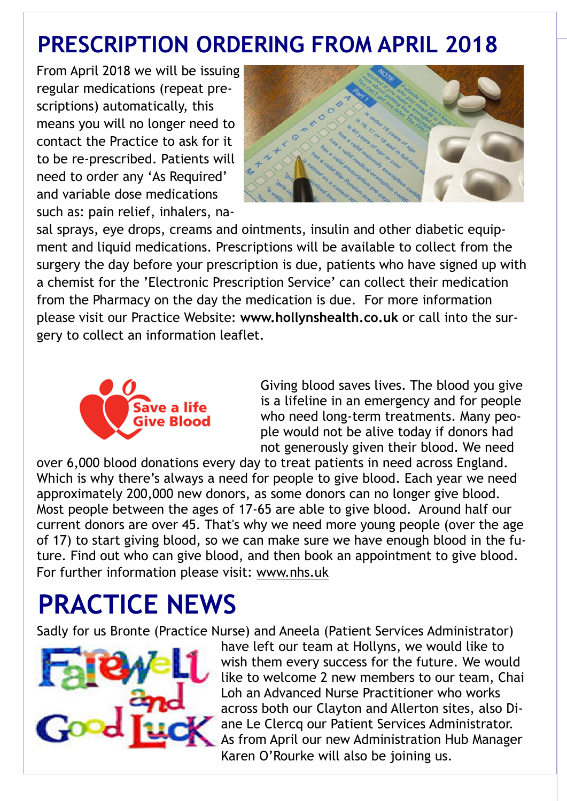## **PRESCRIPTION ORDERING FROM APRIL 2018**

From April 2018 we will be issuing regular medications (repeat prescriptions) automatically, this means you will no longer need to contact the Practice to ask for it to be re-prescribed. Patients will need to order any 'As Required' and variable dose medications such as: pain relief, inhalers, na-



sal sprays, eye drops, creams and ointments, insulin and other diabetic equipment and liquid medications. Prescriptions will be available to collect from the surgery the day before your prescription is due, patients who have signed up with a chemist for the 'Electronic Prescription Service' can collect their medication from the Pharmacy on the day the medication is due. For more information please visit our Practice Website: **www.hollynshealth.co.uk** or call into the surgery to collect an information leaflet.



Giving blood saves lives. The blood you give is a lifeline in an emergency and for people who need long-term treatments. Many people would not be alive today if donors had not generously given their blood. We need

over 6,000 blood donations every day to treat patients in need across England. Which is why there's always [a need for people to give blood.](https://www.blood.co.uk/why-give-blood/the-need-for-blood/) Each year we need approximately 200,000 new donors, as some donors can no longer give blood. Most people between the ages of 17-65 are able to give blood. Around half our current donors are over 45. That's why we need more young people (over the age of 17) to start giving blood, so we can make sure we have enough blood in the future. Find out [who can give blood,](https://www.blood.co.uk/who-can-give-blood/) and then [book an appointment to give blood.](https://www.blood.co.uk/where-to-donate/) For further information please visit: www.nhs.uk

# **PRACTICE NEWS**

Sadly for us Bronte (Practice Nurse) and Aneela (Patient Services Administrator)



have left our team at Hollyns, we would like to wish them every success for the future. We would like to welcome 2 new members to our team, Chai Loh an Advanced Nurse Practitioner who works across both our Clayton and Allerton sites, also Diane Le Clercq our Patient Services Administrator. As from April our new Administration Hub Manager Karen O'Rourke will also be joining us.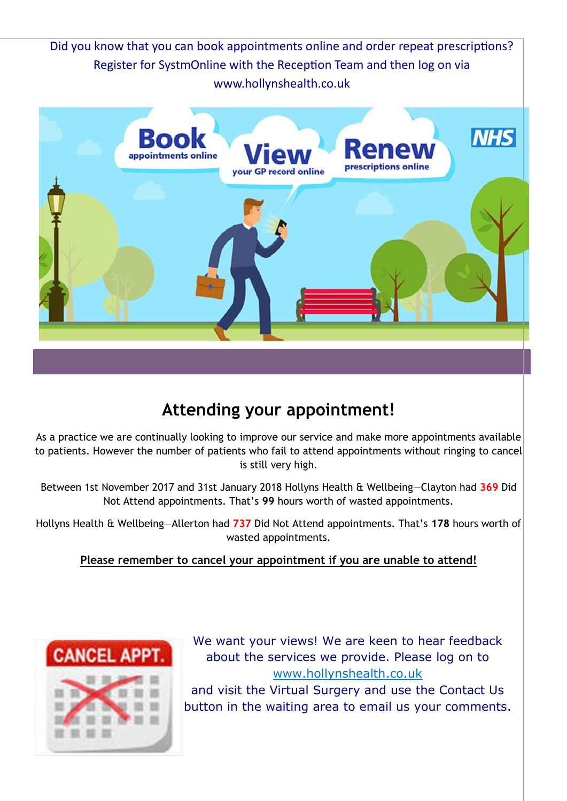Did you know that you can book appointments online and order repeat prescriptions? Register for SystmOnline with the Reception Team and then log on via www.hollynshealth.co.uk



### **Attending your appointment!**

As a practice we are continually looking to improve our service and make more appointments available to patients. However the number of patients who fail to attend appointments without ringing to cancel is still very high.

Between 1st November 2017 and 31st January 2018 Hollyns Health & Wellbeing—Clayton had **369** Did Not Attend appointments. That's **99** hours worth of wasted appointments.

Hollyns Health & Wellbeing—Allerton had **737** Did Not Attend appointments. That's **178** hours worth of wasted appointments.

#### **Please remember to cancel your appointment if you are unable to attend!**



We want your views! We are keen to hear feedback about the services we provide. Please log on to www.hollynshealth.co.uk and visit the Virtual Surgery and use the Contact Us button in the waiting area to email us your comments.